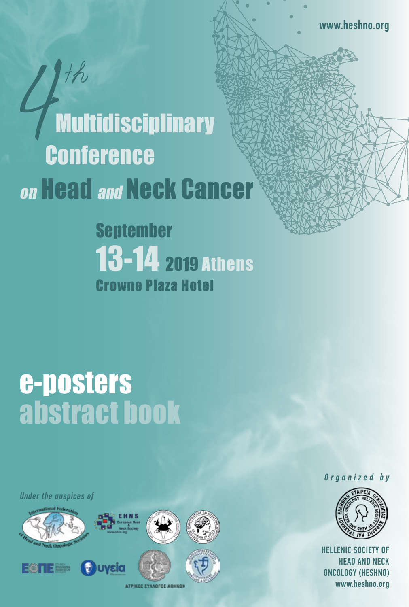# $H$ **Multidisciplinary Conference** on **Head and Neck Cancer**

September 13-14 2019 Athens Crowne Plaza Hotel

## e-posters abstract book

*Under the auspices of*





*Organized by*

HELLENIC SOCIETY OF HEAD AND NECK ONCOLOGY (HESHNO) www.heshno.org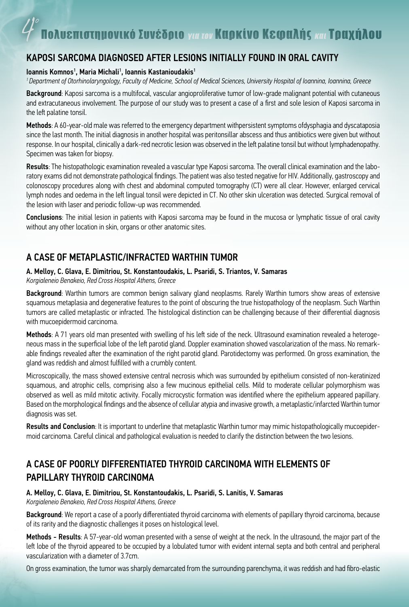## ΚAPOSI SARCOMA DIAGNOSED AFTER LESIONS INITIALLY FOUND IN ORAL CAVITY

#### Ioannis Komnos', Maria Michali', Ioannis Kastanioudakis'

*1 Department of Otorhinolaryngology, Faculty of Medicine, School of Medical Sciences, University Hospital of Ioannina, Ioannina, Greece*

Background: Kaposi sarcoma is a multifocal, vascular angioproliferative tumor of low-grade malignant potential with cutaneous and extracutaneous involvement. The purpose of our study was to present a case of a first and sole lesion of Kaposi sarcoma in the left palatine tonsil.

Methods: A 60-year-old male was referred to the emergency department withpersistent symptoms ofdysphagia and dyscataposia since the last month. The initial diagnosis in another hospital was peritonsillar abscess and thus antibiotics were given but without response. In our hospital, clinically a dark-red necrotic lesion was observed in the left palatine tonsil but without lymphadenopathy. Specimen was taken for biopsy.

Results: The histopathologic examination revealed a vascular type Kaposi sarcoma. The overall clinical examination and the laboratory exams did not demonstrate pathological findings. The patient was also tested negative for HIV. Additionally, gastroscopy and colonoscopy procedures along with chest and abdominal computed tomography (CT) were all clear. However, enlarged cervical lymph nodes and oedema in the left lingual tonsil were depicted in CT. No other skin ulceration was detected. Surgical removal of the lesion with laser and periodic follow-up was recommended.

Conclusions: The initial lesion in patients with Kaposi sarcoma may be found in the mucosa or lymphatic tissue of oral cavity without any other location in skin, organs or other anatomic sites.

### A CASE OF METAPLASTIC/INFRACTED WARTHIN TUMOR

#### A. Melloy, C. Glava, E. Dimitriou, St. Konstantoudakis, L. Psaridi, S. Triantos, V. Samaras

*Korgialeneio Benakeio, Red Cross Hospital Athens, Greece*

Background: Warthin tumors are common benign salivary gland neoplasms. Rarely Warthin tumors show areas of extensive squamous metaplasia and degenerative features to the point of obscuring the true histopathology of the neoplasm. Such Warthin tumors are called metaplastic or infracted. The histological distinction can be challenging because of their differential diagnosis with mucoepidermoid carcinoma.

Methods: A 71 years old man presented with swelling of his left side of the neck. Ultrasound examination revealed a heterogeneous mass in the superficial lobe of the left parotid gland. Doppler examination showed vascolarization of the mass. No remarkable findings revealed after the examination of the right parotid gland. Parotidectomy was performed. On gross examination, the gland was reddish and almost fulfilled with a crumbly content.

Microscopically, the mass showed extensive central necrosis which was surrounded by epithelium consisted of non-keratinized squamous, and atrophic cells, comprising also a few mucinous epithelial cells. Mild to moderate cellular polymorphism was observed as well as mild mitotic activity. Focally microcystic formation was identified where the epithelium appeared papillary. Based on the morphological findings and the absence of cellular atypia and invasive growth, a metaplastic/infarcted Warthin tumor diagnosis was set.

Results and Conclusion: It is important to underline that metaplastic Warthin tumor may mimic histopathologically mucoepidermoid carcinoma. Careful clinical and pathological evaluation is needed to clarify the distinction between the two lesions.

## A CASE OF POORLY DIFFERENTIATED THYROID CARCINOMA WITH ELEMENTS OF PAPILLARY THYROID CARCINOMA

#### A. Melloy, C. Glava, E. Dimitriou, St. Konstantoudakis, L. Psaridi, S. Lanitis, V. Samaras *Korgialeneio Benakeio, Red Cross Hospital Athens, Greece*

Background: We report a case of a poorly differentiated thyroid carcinoma with elements of papillary thyroid carcinoma, because of its rarity and the diagnostic challenges it poses on histological level.

Methods - Results: A 57-year-old woman presented with a sense of weight at the neck. In the ultrasound, the major part of the left lobe of the thyroid appeared to be occupied by a lobulated tumor with evident internal septa and both central and peripheral vascularization with a diameter of 3.7cm.

On gross examination, the tumor was sharply demarcated from the surrounding parenchyma, it was reddish and had fibro-elastic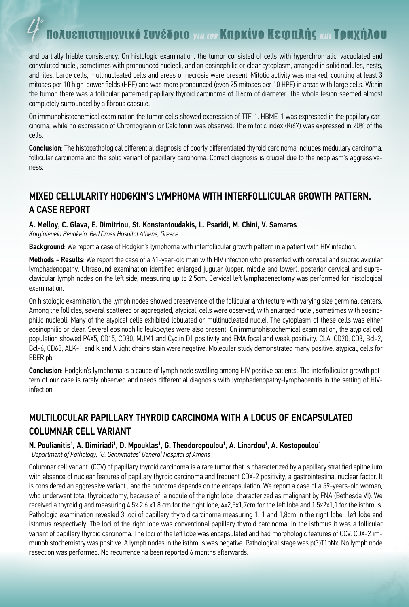# ολυεπιστημονικό Συνέδριο <sub>για τον</sub> Καρκίνο Κεφαλής και Τραχήλου

and partially friable consistency. On histologic examination, the tumor consisted of cells with hyperchromatic, vacuolated and convoluted nuclei, sometimes with pronounced nucleoli, and an eosinophilic or clear cytoplasm, arranged in solid nodules, nests, and files. Large cells, multinucleated cells and areas of necrosis were present. Mitotic activity was marked, counting at least 3 mitoses per 10 high-power fields (HPF) and was more pronounced (even 25 mitoses per 10 HPF) in areas with large cells. Within the tumor, there was a follicular patterned papillary thyroid carcinoma of 0.6cm of diameter. The whole lesion seemed almost completely surrounded by a fibrous capsule.

On immunohistochemical examination the tumor cells showed expression of TTF-1. HBME-1 was expressed in the papillary carcinoma, while no expression of Chromogranin or Calcitonin was observed. The mitotic index (Ki67) was expressed in 20% of the cells.

Conclusion: The histopathological differential diagnosis of poorly differentiated thyroid carcinoma includes medullary carcinoma, follicular carcinoma and the solid variant of papillary carcinoma. Correct diagnosis is crucial due to the neoplasm's aggressiveness.

## MIXED CELLULARITY HODGKIN'S LYMPHOMA WITH INTERFOLLICULAR GROWTH PATTERN. A CASE REPORT

#### A. Melloy, C. Glava, E. Dimitriou, St. Konstantoudakis, L. Psaridi, M. Chini, V. Samaras

*Korgialeneio Benakeio, Red Cross Hospital Athens, Greece*

Background: We report a case of Hodgkin's lymphoma with interfollicular growth pattern in a patient with HIV infection.

Methods - Results: We report the case of a 41-year-old man with HIV infection who presented with cervical and supraclavicular lymphadenopathy. Ultrasound examination identified enlarged jugular (upper, middle and lower), posterior cervical and supraclavicular lymph nodes on the left side, measuring up to 2,5cm. Cervical left lymphadenectomy was performed for histological examination.

On histologic examination, the lymph nodes showed preservance of the follicular architecture with varying size germinal centers. Among the follicles, several scattered or aggregated, atypical, cells were observed, with enlarged nuclei, sometimes with eosinophilic nucleoli. Many of the atypical cells exhibited lobulated or multinucleated nuclei. The cytoplasm of these cells was either eosinophilic or clear. Several eosinophilic leukocytes were also present. On immunohistochemical examination, the atypical cell population showed PAX5, CD15, CD30, MUM1 and Cyclin D1 positivity and EMA focal and weak positivity. CLA, CD20, CD3, Bcl-2, Bcl-6, CD68, ALK-1 and k and λ light chains stain were negative. Molecular study demonstrated many positive, atypical, cells for EBER pb.

Conclusion: Hodgkin's lymphoma is a cause of lymph node swelling among HIV positive patients. The interfollicular growth pattern of our case is rarely observed and needs differential diagnosis with lymphadenopathy-lymphadenitis in the setting of HIVinfection.

## MULTILOCULAR PAPILLARY THYROID CARCINOMA WITH A LOCUS OF ENCAPSULATED COLUMNAR CELL VARIANT

#### N. Poulianitis<sup>1</sup>, A. Dimiriadi<sup>1</sup>, D. Mpouklas<sup>1</sup>, G. Theodoropoulou<sup>1</sup>, A. Linardou<sup>1</sup>, A. Kostopoulou<sup>1</sup>

*1 Department of Pathology, "G. Gennimatas" General Hospital of Athens*

Columnar cell variant (CCV) of papillary thyroid carcinoma is a rare tumor that is characterized by a papillary stratified epithelium with absence of nuclear features of papillary thyroid carcinoma and frequent CDX-2 positivity, a gastrointestinal nuclear factor. It is considered an aggressive variant , and the outcome depends on the encapsulation. We report a case of a 59-years-old woman, who underwent total thyroidectomy, because of a nodule of the right lobe characterized as malignant by FNA (Bethesda VI). We received a thyroid gland measuring 4.5x 2.6 x1.8 cm for the right lobe, 4x2,5x1,7cm for the left lobe and 1,5x2x1,1 for the isthmus. Pathologic examination revealed 3 loci of papillary thyroid carcinoma measuring 1, 1 and 1,8cm in the right lobe , left lobe and isthmus respectively. The loci of the right lobe was conventional papillary thyroid carcinoma. In the isthmus it was a follicular variant of papillary thyroid carcinoma. The loci of the left lobe was encapsulated and had morphologic features of CCV. CDX-2 immunohistochemistry was positive. A lymph nodes in the isthmus was negative. Pathological stage was p(3)T1bNx. No lymph node resection was performed. No recurrence ha been reported 6 months afterwards.